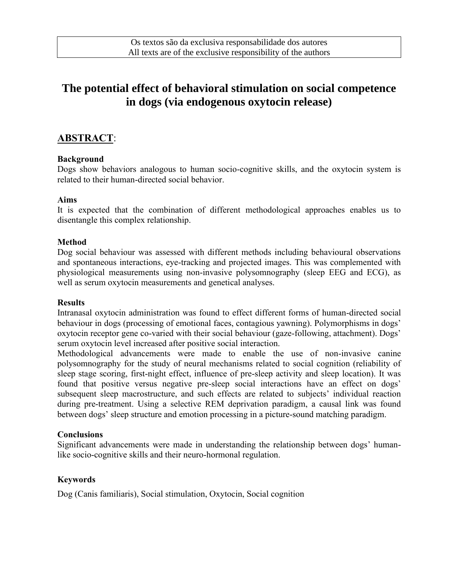# **The potential effect of behavioral stimulation on social competence in dogs (via endogenous oxytocin release)**

# **ABSTRACT**:

#### **Background**

Dogs show behaviors analogous to human socio-cognitive skills, and the oxytocin system is related to their human-directed social behavior.

#### **Aims**

It is expected that the combination of different methodological approaches enables us to disentangle this complex relationship.

#### **Method**

Dog social behaviour was assessed with different methods including behavioural observations and spontaneous interactions, eye-tracking and projected images. This was complemented with physiological measurements using non-invasive polysomnography (sleep EEG and ECG), as well as serum oxytocin measurements and genetical analyses.

#### **Results**

Intranasal oxytocin administration was found to effect different forms of human-directed social behaviour in dogs (processing of emotional faces, contagious yawning). Polymorphisms in dogs' oxytocin receptor gene co-varied with their social behaviour (gaze-following, attachment). Dogs' serum oxytocin level increased after positive social interaction.

Methodological advancements were made to enable the use of non-invasive canine polysomnography for the study of neural mechanisms related to social cognition (reliability of sleep stage scoring, first-night effect, influence of pre-sleep activity and sleep location). It was found that positive versus negative pre-sleep social interactions have an effect on dogs' subsequent sleep macrostructure, and such effects are related to subjects' individual reaction during pre-treatment. Using a selective REM deprivation paradigm, a causal link was found between dogs' sleep structure and emotion processing in a picture-sound matching paradigm.

### **Conclusions**

Significant advancements were made in understanding the relationship between dogs' humanlike socio-cognitive skills and their neuro-hormonal regulation.

### **Keywords**

Dog (Canis familiaris), Social stimulation, Oxytocin, Social cognition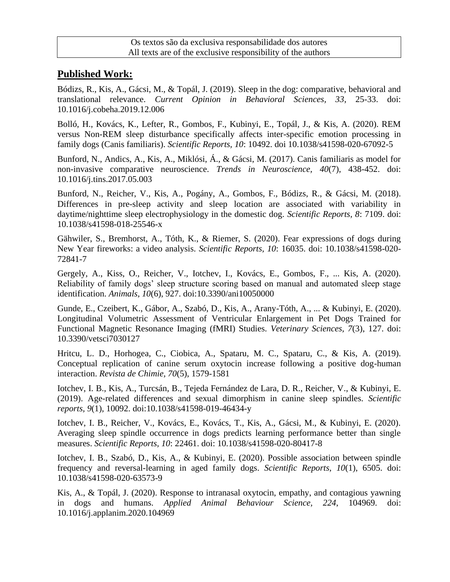# **Published Work:**

Bódizs, R., Kis, A., Gácsi, M., & Topál, J. (2019). Sleep in the dog: comparative, behavioral and translational relevance. *Current Opinion in Behavioral Sciences, 33*, 25-33. doi: 10.1016/j.cobeha.2019.12.006

Bolló, H., Kovács, K., Lefter, R., Gombos, F., Kubinyi, E., Topál, J., & Kis, A. (2020). REM versus Non-REM sleep disturbance specifically affects inter-specific emotion processing in family dogs (Canis familiaris). *Scientific Reports, 10*: 10492. doi 10.1038/s41598-020-67092-5

Bunford, N., Andics, A., Kis, A., Miklósi, Á., & Gácsi, M. (2017). Canis familiaris as model for non-invasive comparative neuroscience. *Trends in Neuroscience, 40*(7), 438-452. doi: 10.1016/j.tins.2017.05.003

Bunford, N., Reicher, V., Kis, A., Pogány, A., Gombos, F., Bódizs, R., & Gácsi, M. (2018). Differences in pre-sleep activity and sleep location are associated with variability in daytime/nighttime sleep electrophysiology in the domestic dog. *Scientific Reports, 8*: 7109. doi: 10.1038/s41598-018-25546-x

Gähwiler, S., Bremhorst, A., Tóth, K., & Riemer, S. (2020). Fear expressions of dogs during New Year fireworks: a video analysis. *Scientific Reports, 10*: 16035. doi: 10.1038/s41598-020- 72841-7

Gergely, A., Kiss, O., Reicher, V., Iotchev, I., Kovács, E., Gombos, F., ... Kis, A. (2020). Reliability of family dogs' sleep structure scoring based on manual and automated sleep stage identification. *Animals, 10*(6), 927. doi:10.3390/ani10050000

Gunde, E., Czeibert, K., Gábor, A., Szabó, D., Kis, A., Arany-Tóth, A., ... & Kubinyi, E. (2020). Longitudinal Volumetric Assessment of Ventricular Enlargement in Pet Dogs Trained for Functional Magnetic Resonance Imaging (fMRI) Studies. *Veterinary Sciences, 7*(3), 127. doi: 10.3390/vetsci7030127

Hritcu, L. D., Horhogea, C., Ciobica, A., Spataru, M. C., Spataru, C., & Kis, A. (2019). Conceptual replication of canine serum oxytocin increase following a positive dog-human interaction. *Revista de Chimie, 70*(5), 1579-1581

Iotchev, I. B., Kis, A., Turcsán, B., Tejeda Fernández de Lara, D. R., Reicher, V., & Kubinyi, E. (2019). Age-related differences and sexual dimorphism in canine sleep spindles. *Scientific reports, 9*(1), 10092. doi:10.1038/s41598-019-46434-y

Iotchev, I. B., Reicher, V., Kovács, E., Kovács, T., Kis, A., Gácsi, M., & Kubinyi, E. (2020). Averaging sleep spindle occurrence in dogs predicts learning performance better than single measures. *Scientific Reports, 10*: 22461. doi: 10.1038/s41598-020-80417-8

Iotchev, I. B., Szabó, D., Kis, A., & Kubinyi, E. (2020). Possible association between spindle frequency and reversal-learning in aged family dogs. *Scientific Reports, 10*(1), 6505. doi: 10.1038/s41598-020-63573-9

Kis, A., & Topál, J. (2020). Response to intranasal oxytocin, empathy, and contagious yawning in dogs and humans. *Applied Animal Behaviour Science, 224*, 104969. doi: 10.1016/j.applanim.2020.104969